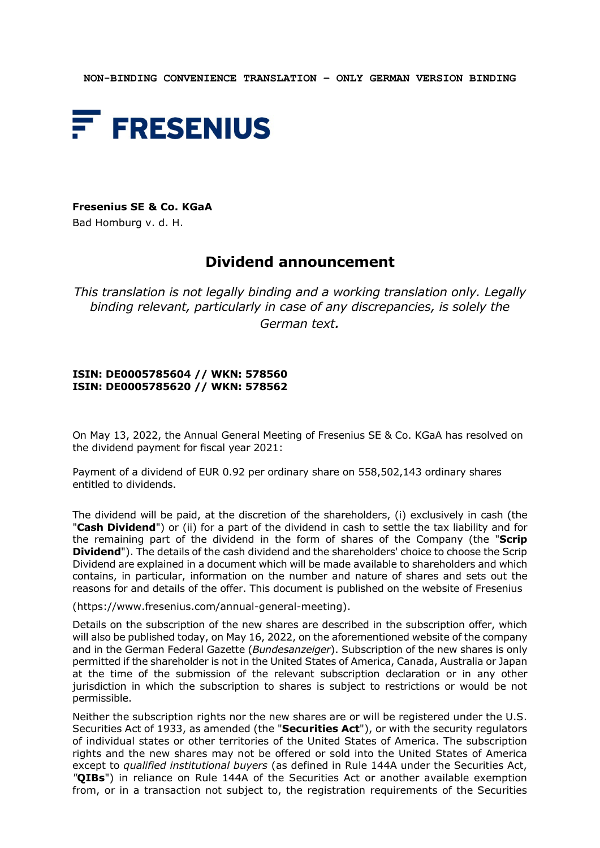

# **Fresenius SE & Co. KGaA**

Bad Homburg v. d. H.

# **Dividend announcement**

*This translation is not legally binding and a working translation only. Legally binding relevant, particularly in case of any discrepancies, is solely the German text.*

## **ISIN: DE0005785604 // WKN: 578560 ISIN: DE0005785620 // WKN: 578562**

On May 13, 2022, the Annual General Meeting of Fresenius SE & Co. KGaA has resolved on the dividend payment for fiscal year 2021:

Payment of a dividend of EUR 0.92 per ordinary share on 558,502,143 ordinary shares entitled to dividends.

The dividend will be paid, at the discretion of the shareholders, (i) exclusively in cash (the "**Cash Dividend**") or (ii) for a part of the dividend in cash to settle the tax liability and for the remaining part of the dividend in the form of shares of the Company (the "**Scrip Dividend**"). The details of the cash dividend and the shareholders' choice to choose the Scrip Dividend are explained in a document which will be made available to shareholders and which contains, in particular, information on the number and nature of shares and sets out the reasons for and details of the offer. This document is published on the website of Fresenius

### (https://www.fresenius.com/annual-general-meeting).

Details on the subscription of the new shares are described in the subscription offer, which will also be published today, on May 16, 2022, on the aforementioned website of the company and in the German Federal Gazette (*Bundesanzeiger*). Subscription of the new shares is only permitted if the shareholder is not in the United States of America, Canada, Australia or Japan at the time of the submission of the relevant subscription declaration or in any other jurisdiction in which the subscription to shares is subject to restrictions or would be not permissible.

Neither the subscription rights nor the new shares are or will be registered under the U.S. Securities Act of 1933, as amended (the "**Securities Act**"), or with the security regulators of individual states or other territories of the United States of America. The subscription rights and the new shares may not be offered or sold into the United States of America except to *qualified institutional buyers* (as defined in Rule 144A under the Securities Act, *"***QIBs**") in reliance on Rule 144A of the Securities Act or another available exemption from, or in a transaction not subject to, the registration requirements of the Securities